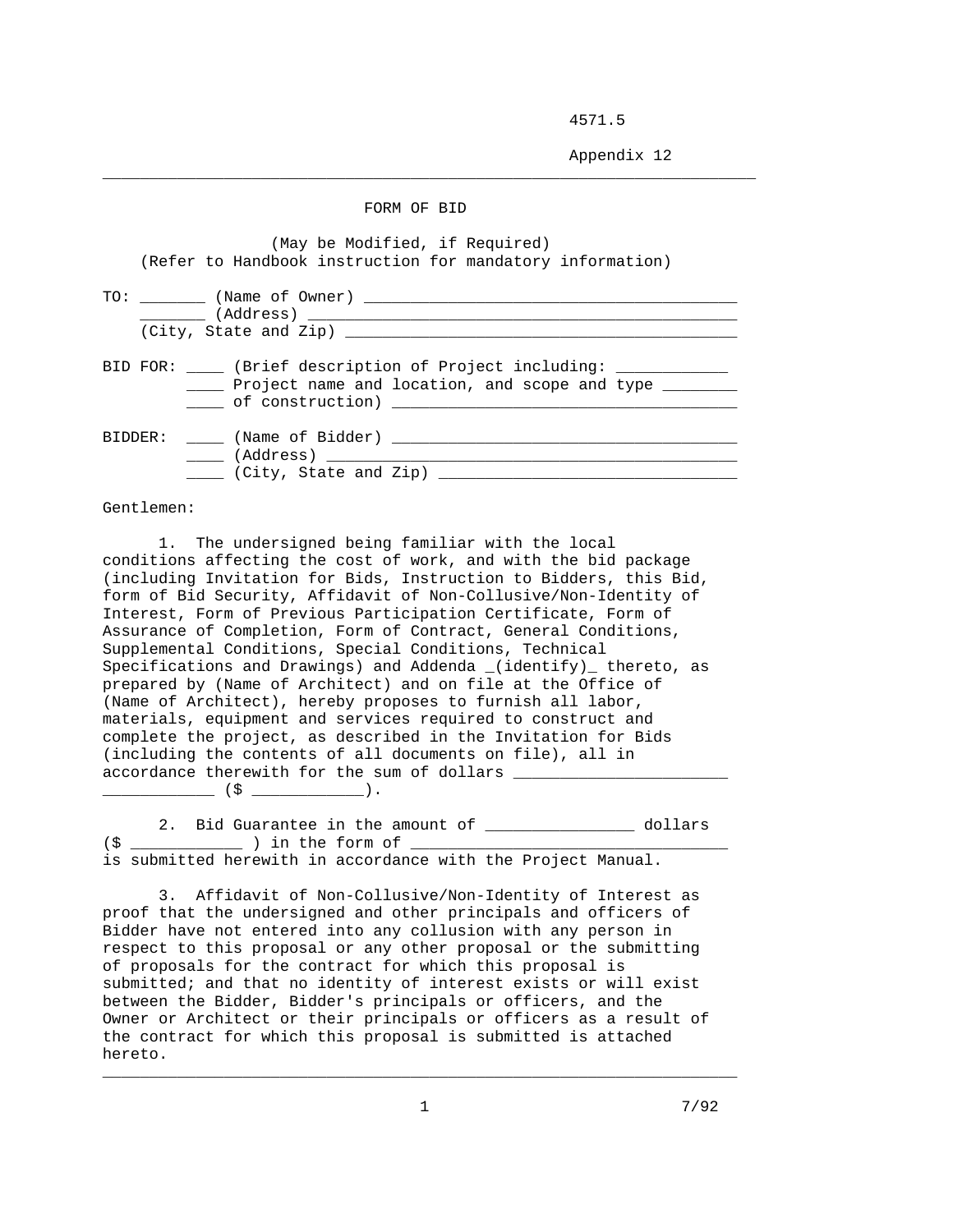4571.5

Appendix 12

## FORM OF BID

\_\_\_\_\_\_\_\_\_\_\_\_\_\_\_\_\_\_\_\_\_\_\_\_\_\_\_\_\_\_\_\_\_\_\_\_\_\_\_\_\_\_\_\_\_\_\_\_\_\_\_\_\_\_\_\_\_\_\_\_\_\_\_\_\_\_\_\_\_\_

|  |  | (May be Modified, if Required)<br>(Refer to Handbook instruction for mandatory information)                      |
|--|--|------------------------------------------------------------------------------------------------------------------|
|  |  | (Address)                                                                                                        |
|  |  | BID FOR: (Brief description of Project including:<br>_____ Project name and location, and scope and type _______ |
|  |  | BIDDER: (Name of Bidder)<br>(Address) _________________<br>(City, State and Zip) ____                            |

Gentlemen:

 1. The undersigned being familiar with the local conditions affecting the cost of work, and with the bid package (including Invitation for Bids, Instruction to Bidders, this Bid, form of Bid Security, Affidavit of Non-Collusive/Non-Identity of Interest, Form of Previous Participation Certificate, Form of Assurance of Completion, Form of Contract, General Conditions, Supplemental Conditions, Special Conditions, Technical Specifications and Drawings) and Addenda \_(identify)\_ thereto, as prepared by (Name of Architect) and on file at the Office of (Name of Architect), hereby proposes to furnish all labor, materials, equipment and services required to construct and complete the project, as described in the Invitation for Bids (including the contents of all documents on file), all in accordance therewith for the sum of dollars \_\_\_\_\_\_\_\_\_\_\_\_ (\$ \_\_\_\_\_\_\_\_\_\_\_\_).

2. Bid Guarantee in the amount of \_\_\_\_\_\_\_\_\_\_\_\_\_\_\_\_\_ dollars  $($ \$  $\_$   $\_$  ) in the form of  $\_$ is submitted herewith in accordance with the Project Manual.

 3. Affidavit of Non-Collusive/Non-Identity of Interest as proof that the undersigned and other principals and officers of Bidder have not entered into any collusion with any person in respect to this proposal or any other proposal or the submitting of proposals for the contract for which this proposal is submitted; and that no identity of interest exists or will exist between the Bidder, Bidder's principals or officers, and the Owner or Architect or their principals or officers as a result of the contract for which this proposal is submitted is attached hereto.

\_\_\_\_\_\_\_\_\_\_\_\_\_\_\_\_\_\_\_\_\_\_\_\_\_\_\_\_\_\_\_\_\_\_\_\_\_\_\_\_\_\_\_\_\_\_\_\_\_\_\_\_\_\_\_\_\_\_\_\_\_\_\_\_\_\_\_\_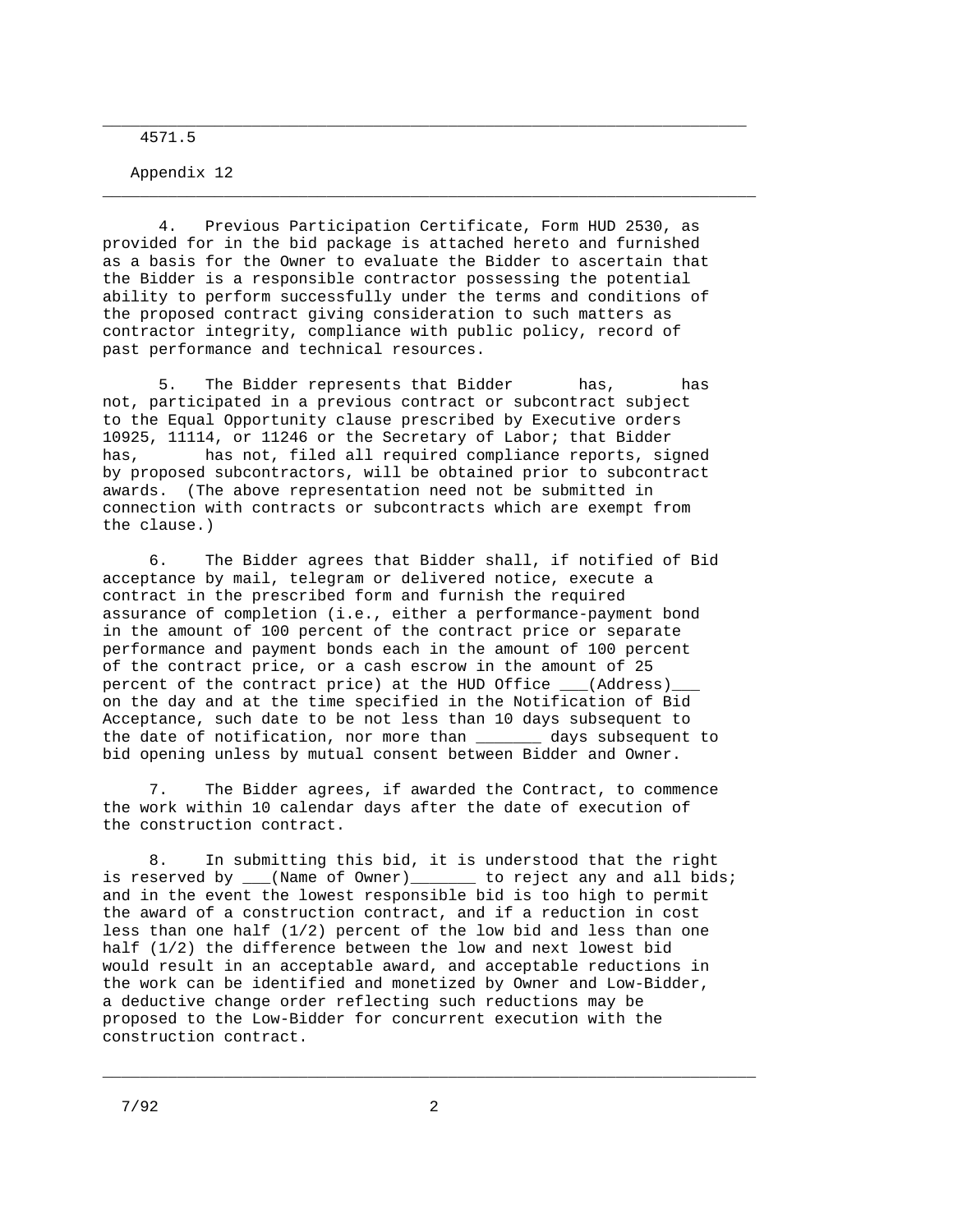4571.5

Appendix 12

 4. Previous Participation Certificate, Form HUD 2530, as provided for in the bid package is attached hereto and furnished as a basis for the Owner to evaluate the Bidder to ascertain that the Bidder is a responsible contractor possessing the potential ability to perform successfully under the terms and conditions of the proposed contract giving consideration to such matters as contractor integrity, compliance with public policy, record of past performance and technical resources.

\_\_\_\_\_\_\_\_\_\_\_\_\_\_\_\_\_\_\_\_\_\_\_\_\_\_\_\_\_\_\_\_\_\_\_\_\_\_\_\_\_\_\_\_\_\_\_\_\_\_\_\_\_\_\_\_\_\_\_\_\_\_\_\_\_\_\_\_\_

\_\_\_\_\_\_\_\_\_\_\_\_\_\_\_\_\_\_\_\_\_\_\_\_\_\_\_\_\_\_\_\_\_\_\_\_\_\_\_\_\_\_\_\_\_\_\_\_\_\_\_\_\_\_\_\_\_\_\_\_\_\_\_\_\_\_\_\_\_\_

 5. The Bidder represents that Bidder has, has not, participated in a previous contract or subcontract subject to the Equal Opportunity clause prescribed by Executive orders 10925, 11114, or 11246 or the Secretary of Labor; that Bidder has, has not, filed all required compliance reports, signed by proposed subcontractors, will be obtained prior to subcontract awards. (The above representation need not be submitted in connection with contracts or subcontracts which are exempt from the clause.)

 6. The Bidder agrees that Bidder shall, if notified of Bid acceptance by mail, telegram or delivered notice, execute a contract in the prescribed form and furnish the required assurance of completion (i.e., either a performance-payment bond in the amount of 100 percent of the contract price or separate performance and payment bonds each in the amount of 100 percent of the contract price, or a cash escrow in the amount of 25 percent of the contract price) at the HUD Office \_\_\_(Address)\_ on the day and at the time specified in the Notification of Bid Acceptance, such date to be not less than 10 days subsequent to the date of notification, nor more than \_\_\_\_\_\_\_ days subsequent to bid opening unless by mutual consent between Bidder and Owner.

 7. The Bidder agrees, if awarded the Contract, to commence the work within 10 calendar days after the date of execution of the construction contract.

 8. In submitting this bid, it is understood that the right is reserved by  $\lfloor$  (Name of Owner)  $\lfloor$  to reject any and all bids; and in the event the lowest responsible bid is too high to permit the award of a construction contract, and if a reduction in cost less than one half (1/2) percent of the low bid and less than one half (1/2) the difference between the low and next lowest bid would result in an acceptable award, and acceptable reductions in the work can be identified and monetized by Owner and Low-Bidder, a deductive change order reflecting such reductions may be proposed to the Low-Bidder for concurrent execution with the construction contract.

\_\_\_\_\_\_\_\_\_\_\_\_\_\_\_\_\_\_\_\_\_\_\_\_\_\_\_\_\_\_\_\_\_\_\_\_\_\_\_\_\_\_\_\_\_\_\_\_\_\_\_\_\_\_\_\_\_\_\_\_\_\_\_\_\_\_\_\_\_\_